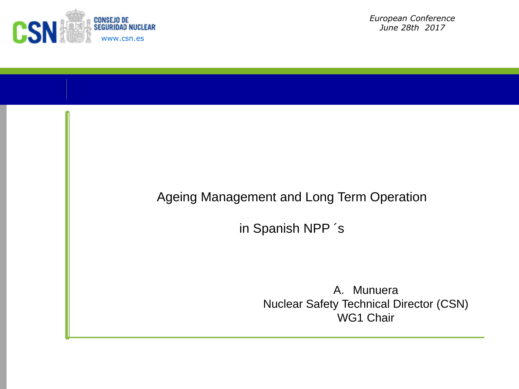

*European Conference June 28th 2017*

## Ageing Management and Long Term Operation

in Spanish NPP ´s

A. Munuera Nuclear Safety Technical Director (CSN) WG1 Chair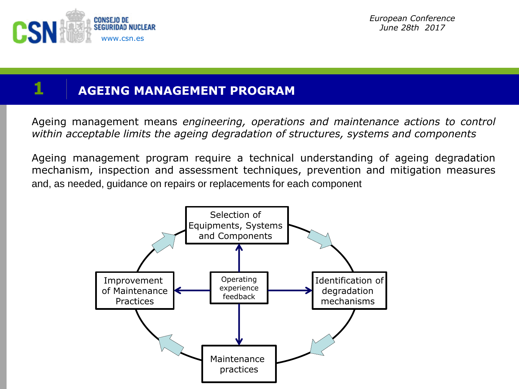

*European Conference June 28th 2017*

## **1 AGEING MANAGEMENT PROGRAM**

Ageing management means *engineering, operations and maintenance actions to control within acceptable limits the ageing degradation of structures, systems and components*

Ageing management program require a technical understanding of ageing degradation mechanism, inspection and assessment techniques, prevention and mitigation measures and, as needed, guidance on repairs or replacements for each component